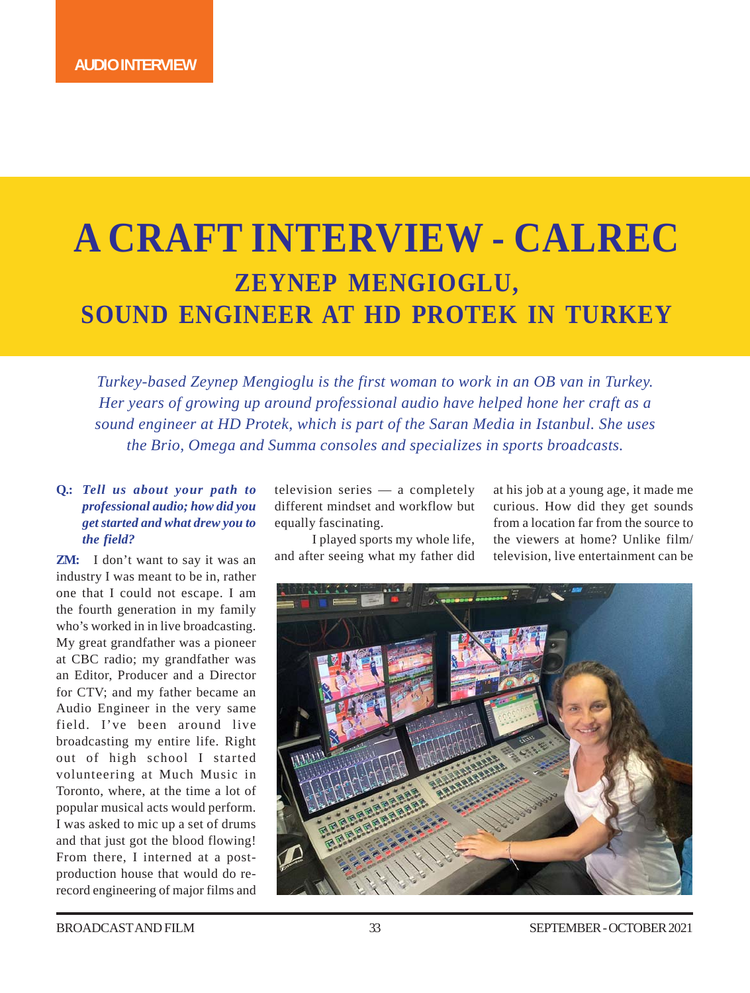# **A CRAFT INTERVIEW - CALREC ZEYNEP MENGIOGLU, SOUND ENGINEER AT HD PROTEK IN TURKEY**

*Turkey-based Zeynep Mengioglu is the first woman to work in an OB van in Turkey. Her years of growing up around professional audio have helped hone her craft as a sound engineer at HD Protek, which is part of the Saran Media in Istanbul. She uses the Brio, Omega and Summa consoles and specializes in sports broadcasts.*

### **Q.:** *Tell us about your path to professional audio; how did you get started and what drew you to the field?*

**ZM:** I don't want to say it was an industry I was meant to be in, rather one that I could not escape. I am the fourth generation in my family who's worked in in live broadcasting. My great grandfather was a pioneer at CBC radio; my grandfather was an Editor, Producer and a Director for CTV; and my father became an Audio Engineer in the very same field. I've been around live broadcasting my entire life. Right out of high school I started volunteering at Much Music in Toronto, where, at the time a lot of popular musical acts would perform. I was asked to mic up a set of drums and that just got the blood flowing! From there, I interned at a postproduction house that would do rerecord engineering of major films and television series — a completely different mindset and workflow but equally fascinating.

I played sports my whole life, and after seeing what my father did at his job at a young age, it made me curious. How did they get sounds from a location far from the source to the viewers at home? Unlike film/ television, live entertainment can be

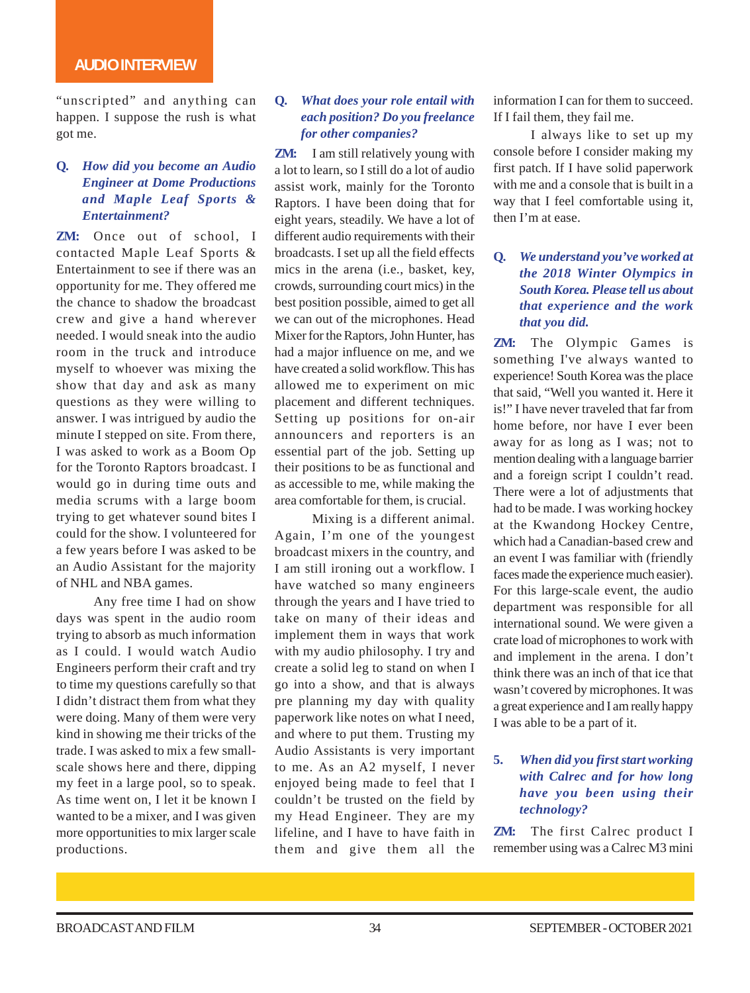"unscripted" and anything can happen. I suppose the rush is what got me.

### **Q.** *How did you become an Audio Engineer at Dome Productions and Maple Leaf Sports & Entertainment?*

**ZM:** Once out of school, I contacted Maple Leaf Sports & Entertainment to see if there was an opportunity for me. They offered me the chance to shadow the broadcast crew and give a hand wherever needed. I would sneak into the audio room in the truck and introduce myself to whoever was mixing the show that day and ask as many questions as they were willing to answer. I was intrigued by audio the minute I stepped on site. From there, I was asked to work as a Boom Op for the Toronto Raptors broadcast. I would go in during time outs and media scrums with a large boom trying to get whatever sound bites I could for the show. I volunteered for a few years before I was asked to be an Audio Assistant for the majority of NHL and NBA games.

Any free time I had on show days was spent in the audio room trying to absorb as much information as I could. I would watch Audio Engineers perform their craft and try to time my questions carefully so that I didn't distract them from what they were doing. Many of them were very kind in showing me their tricks of the trade. I was asked to mix a few smallscale shows here and there, dipping my feet in a large pool, so to speak. As time went on, I let it be known I wanted to be a mixer, and I was given more opportunities to mix larger scale productions.

### **Q.** *What does your role entail with each position? Do you freelance for other companies?*

**ZM:** I am still relatively young with a lot to learn, so I still do a lot of audio assist work, mainly for the Toronto Raptors. I have been doing that for eight years, steadily. We have a lot of different audio requirements with their broadcasts. I set up all the field effects mics in the arena (i.e., basket, key, crowds, surrounding court mics) in the best position possible, aimed to get all we can out of the microphones. Head Mixer for the Raptors, John Hunter, has had a major influence on me, and we have created a solid workflow. This has allowed me to experiment on mic placement and different techniques. Setting up positions for on-air announcers and reporters is an essential part of the job. Setting up their positions to be as functional and as accessible to me, while making the area comfortable for them, is crucial.

Mixing is a different animal. Again, I'm one of the youngest broadcast mixers in the country, and I am still ironing out a workflow. I have watched so many engineers through the years and I have tried to take on many of their ideas and implement them in ways that work with my audio philosophy. I try and create a solid leg to stand on when I go into a show, and that is always pre planning my day with quality paperwork like notes on what I need, and where to put them. Trusting my Audio Assistants is very important to me. As an A2 myself, I never enjoyed being made to feel that I couldn't be trusted on the field by my Head Engineer. They are my lifeline, and I have to have faith in them and give them all the information I can for them to succeed. If I fail them, they fail me.

I always like to set up my console before I consider making my first patch. If I have solid paperwork with me and a console that is built in a way that I feel comfortable using it, then I'm at ease.

### **Q.** *We understand you've worked at the 2018 Winter Olympics in South Korea. Please tell us about that experience and the work that you did.*

**ZM:** The Olympic Games is something I've always wanted to experience! South Korea was the place that said, "Well you wanted it. Here it is!" I have never traveled that far from home before, nor have I ever been away for as long as I was; not to mention dealing with a language barrier and a foreign script I couldn't read. There were a lot of adjustments that had to be made. I was working hockey at the Kwandong Hockey Centre, which had a Canadian-based crew and an event I was familiar with (friendly faces made the experience much easier). For this large-scale event, the audio department was responsible for all international sound. We were given a crate load of microphones to work with and implement in the arena. I don't think there was an inch of that ice that wasn't covered by microphones. It was a great experience and I am really happy I was able to be a part of it.

## **5.** *When did you first start working with Calrec and for how long have you been using their technology?*

**ZM:** The first Calrec product I remember using was a Calrec M3 mini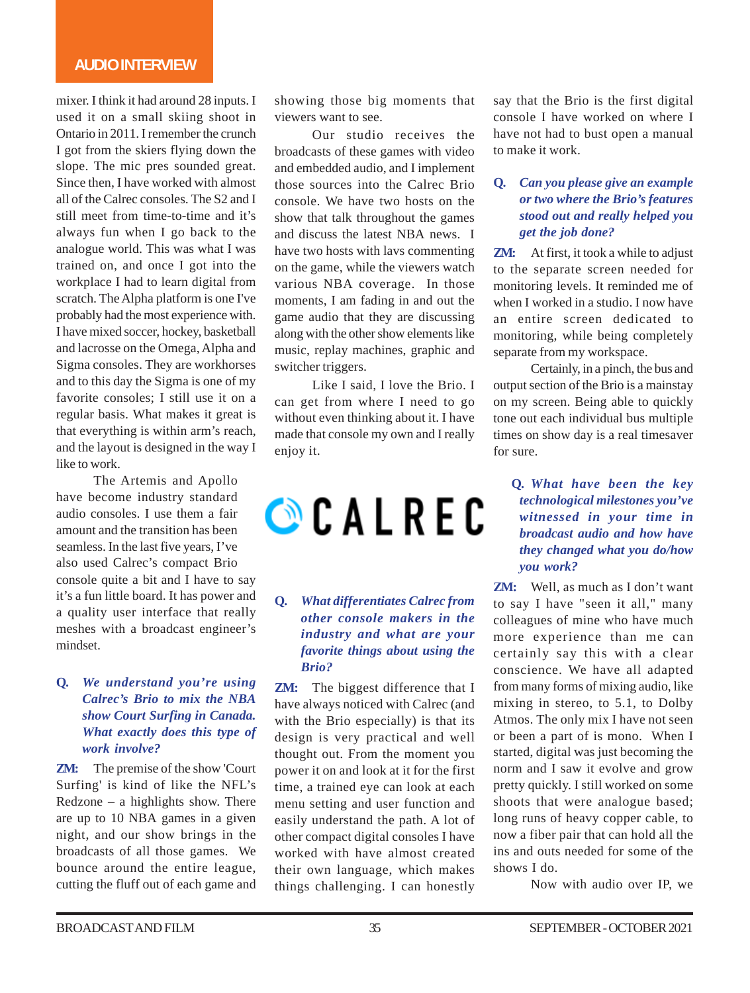## **AUDIO INTERVIEW**

mixer. I think it had around 28 inputs. I used it on a small skiing shoot in Ontario in 2011. I remember the crunch I got from the skiers flying down the slope. The mic pres sounded great. Since then, I have worked with almost all of the Calrec consoles. The S2 and I still meet from time-to-time and it's always fun when I go back to the analogue world. This was what I was trained on, and once I got into the workplace I had to learn digital from scratch. The Alpha platform is one I've probably had the most experience with. I have mixed soccer, hockey, basketball and lacrosse on the Omega, Alpha and Sigma consoles. They are workhorses and to this day the Sigma is one of my favorite consoles; I still use it on a regular basis. What makes it great is that everything is within arm's reach, and the layout is designed in the way I like to work.

The Artemis and Apollo have become industry standard audio consoles. I use them a fair amount and the transition has been seamless. In the last five years, I've also used Calrec's compact Brio console quite a bit and I have to say it's a fun little board. It has power and a quality user interface that really meshes with a broadcast engineer's mindset.

### **Q.** *We understand you're using Calrec's Brio to mix the NBA show Court Surfing in Canada. What exactly does this type of work involve?*

**ZM:** The premise of the show 'Court' Surfing' is kind of like the NFL's Redzone – a highlights show. There are up to 10 NBA games in a given night, and our show brings in the broadcasts of all those games. We bounce around the entire league, cutting the fluff out of each game and showing those big moments that viewers want to see.

Our studio receives the broadcasts of these games with video and embedded audio, and I implement those sources into the Calrec Brio console. We have two hosts on the show that talk throughout the games and discuss the latest NBA news. I have two hosts with lavs commenting on the game, while the viewers watch various NBA coverage. In those moments, I am fading in and out the game audio that they are discussing along with the other show elements like music, replay machines, graphic and switcher triggers.

Like I said, I love the Brio. I can get from where I need to go without even thinking about it. I have made that console my own and I really enjoy it.

# $\odot$  CALREC

### **Q.** *What differentiates Calrec from other console makers in the industry and what are your favorite things about using the Brio?*

**ZM:** The biggest difference that I have always noticed with Calrec (and with the Brio especially) is that its design is very practical and well thought out. From the moment you power it on and look at it for the first time, a trained eye can look at each menu setting and user function and easily understand the path. A lot of other compact digital consoles I have worked with have almost created their own language, which makes things challenging. I can honestly say that the Brio is the first digital console I have worked on where I have not had to bust open a manual to make it work.

### **Q.** *Can you please give an example or two where the Brio's features stood out and really helped you get the job done?*

**ZM:** At first, it took a while to adjust to the separate screen needed for monitoring levels. It reminded me of when I worked in a studio. I now have an entire screen dedicated to monitoring, while being completely separate from my workspace.

Certainly, in a pinch, the bus and output section of the Brio is a mainstay on my screen. Being able to quickly tone out each individual bus multiple times on show day is a real timesaver for sure.

### **Q.** *What have been the key technological milestones you've witnessed in your time in broadcast audio and how have they changed what you do/how you work?*

**ZM:** Well, as much as I don't want to say I have "seen it all," many colleagues of mine who have much more experience than me can certainly say this with a clear conscience. We have all adapted from many forms of mixing audio, like mixing in stereo, to 5.1, to Dolby Atmos. The only mix I have not seen or been a part of is mono. When I started, digital was just becoming the norm and I saw it evolve and grow pretty quickly. I still worked on some shoots that were analogue based; long runs of heavy copper cable, to now a fiber pair that can hold all the ins and outs needed for some of the shows I do.

Now with audio over IP, we